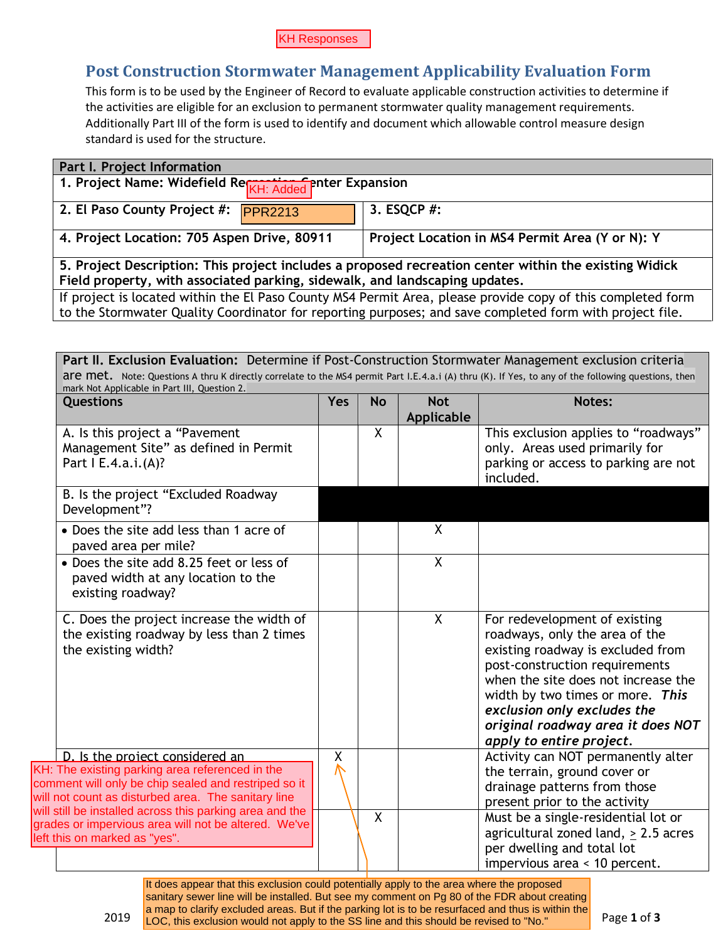## **Post Construction Stormwater Management Applicability Evaluation Form**

| <b>Part I. Project Information</b>                                                                          |                                                 |  |  |
|-------------------------------------------------------------------------------------------------------------|-------------------------------------------------|--|--|
| 1. Project Name: Widefield Re <sub>KH: Added</sub> enter Expansion                                          |                                                 |  |  |
| 2. El Paso County Project #: PPR2213                                                                        | 3. ESQCP #:                                     |  |  |
| 4. Project Location: 705 Aspen Drive, 80911                                                                 | Project Location in MS4 Permit Area (Y or N): Y |  |  |
| 5. Project Description: This project includes a proposed recreation center within the existing Widick       |                                                 |  |  |
| Field property, with associated parking, sidewalk, and landscaping updates.                                 |                                                 |  |  |
| If project is located within the El Paso County MS4 Permit Area, please provide copy of this completed form |                                                 |  |  |
| to the Stormwater Quality Coordinator for reporting purposes; and save completed form with project file.    |                                                 |  |  |

| This form is to be used by the Engineer of Record to evaluate applicable construction activities to determine if                                                                                                                                              |     |                                                 |             | <b>Post Construction Stormwater Management Applicability Evaluation Form</b>                                                                                                                                                                                    |  |
|---------------------------------------------------------------------------------------------------------------------------------------------------------------------------------------------------------------------------------------------------------------|-----|-------------------------------------------------|-------------|-----------------------------------------------------------------------------------------------------------------------------------------------------------------------------------------------------------------------------------------------------------------|--|
| the activities are eligible for an exclusion to permanent stormwater quality management requirements.<br>Additionally Part III of the form is used to identify and document which allowable control measure design                                            |     |                                                 |             |                                                                                                                                                                                                                                                                 |  |
| standard is used for the structure.                                                                                                                                                                                                                           |     |                                                 |             |                                                                                                                                                                                                                                                                 |  |
| Part I. Project Information                                                                                                                                                                                                                                   |     |                                                 |             |                                                                                                                                                                                                                                                                 |  |
| 1. Project Name: Widefield Re <sub>KH: Added</sub> enter Expansion                                                                                                                                                                                            |     |                                                 |             |                                                                                                                                                                                                                                                                 |  |
| 2. El Paso County Project #:<br><b>PPR2213</b>                                                                                                                                                                                                                |     |                                                 | 3. ESQCP #: |                                                                                                                                                                                                                                                                 |  |
| 4. Project Location: 705 Aspen Drive, 80911                                                                                                                                                                                                                   |     | Project Location in MS4 Permit Area (Y or N): Y |             |                                                                                                                                                                                                                                                                 |  |
| 5. Project Description: This project includes a proposed recreation center within the existing Widick<br>Field property, with associated parking, sidewalk, and landscaping updates.                                                                          |     |                                                 |             |                                                                                                                                                                                                                                                                 |  |
| If project is located within the El Paso County MS4 Permit Area, please provide copy of this completed form                                                                                                                                                   |     |                                                 |             |                                                                                                                                                                                                                                                                 |  |
| to the Stormwater Quality Coordinator for reporting purposes; and save completed form with project file.                                                                                                                                                      |     |                                                 |             |                                                                                                                                                                                                                                                                 |  |
|                                                                                                                                                                                                                                                               |     |                                                 |             |                                                                                                                                                                                                                                                                 |  |
| Part II. Exclusion Evaluation: Determine if Post-Construction Stormwater Management exclusion criteria<br>are met. Note: Questions A thru K directly correlate to the MS4 permit Part I.E.4.a.i (A) thru (K). If Yes, to any of the following questions, then |     |                                                 |             |                                                                                                                                                                                                                                                                 |  |
| mark Not Applicable in Part III, Question 2.<br>Questions                                                                                                                                                                                                     | Yes | <b>No</b>                                       | <b>Not</b>  | Notes:                                                                                                                                                                                                                                                          |  |
| A. Is this project a "Pavement                                                                                                                                                                                                                                |     | X                                               | Applicable  | This exclusion applies to "roadways"                                                                                                                                                                                                                            |  |
| Management Site" as defined in Permit                                                                                                                                                                                                                         |     |                                                 |             | only. Areas used primarily for                                                                                                                                                                                                                                  |  |
| Part I E.4.a.i.(A)?                                                                                                                                                                                                                                           |     |                                                 |             | parking or access to parking are not<br>included.                                                                                                                                                                                                               |  |
| B. Is the project "Excluded Roadway<br>Development"?                                                                                                                                                                                                          |     |                                                 |             |                                                                                                                                                                                                                                                                 |  |
| • Does the site add less than 1 acre of<br>paved area per mile?                                                                                                                                                                                               |     |                                                 | X           |                                                                                                                                                                                                                                                                 |  |
| • Does the site add 8.25 feet or less of<br>paved width at any location to the                                                                                                                                                                                |     |                                                 | X           |                                                                                                                                                                                                                                                                 |  |
| existing roadway?                                                                                                                                                                                                                                             |     |                                                 |             |                                                                                                                                                                                                                                                                 |  |
| C. Does the project increase the width of                                                                                                                                                                                                                     |     |                                                 | X           | For redevelopment of existing                                                                                                                                                                                                                                   |  |
| the existing roadway by less than 2 times<br>the existing width?                                                                                                                                                                                              |     |                                                 |             | roadways, only the area of the<br>existing roadway is excluded from                                                                                                                                                                                             |  |
|                                                                                                                                                                                                                                                               |     |                                                 |             | post-construction requirements                                                                                                                                                                                                                                  |  |
|                                                                                                                                                                                                                                                               |     |                                                 |             |                                                                                                                                                                                                                                                                 |  |
|                                                                                                                                                                                                                                                               |     |                                                 |             |                                                                                                                                                                                                                                                                 |  |
|                                                                                                                                                                                                                                                               |     |                                                 |             | exclusion only excludes the                                                                                                                                                                                                                                     |  |
|                                                                                                                                                                                                                                                               |     |                                                 |             |                                                                                                                                                                                                                                                                 |  |
|                                                                                                                                                                                                                                                               |     |                                                 |             | apply to entire project.                                                                                                                                                                                                                                        |  |
| D. Is the project considered an<br>KH: The existing parking area referenced in the                                                                                                                                                                            | χ   |                                                 |             | the terrain, ground cover or                                                                                                                                                                                                                                    |  |
| comment will only be chip sealed and restriped so it<br>will not count as disturbed area. The sanitary line                                                                                                                                                   |     |                                                 |             | drainage patterns from those                                                                                                                                                                                                                                    |  |
| will still be installed across this parking area and the                                                                                                                                                                                                      |     | X                                               |             | present prior to the activity                                                                                                                                                                                                                                   |  |
| grades or impervious area will not be altered. We've<br>left this on marked as "yes".                                                                                                                                                                         |     |                                                 |             | when the site does not increase the<br>width by two times or more. This<br>original roadway area it does NOT<br>Activity can NOT permanently alter<br>Must be a single-residential lot or<br>agricultural zoned land, > 2.5 acres<br>per dwelling and total lot |  |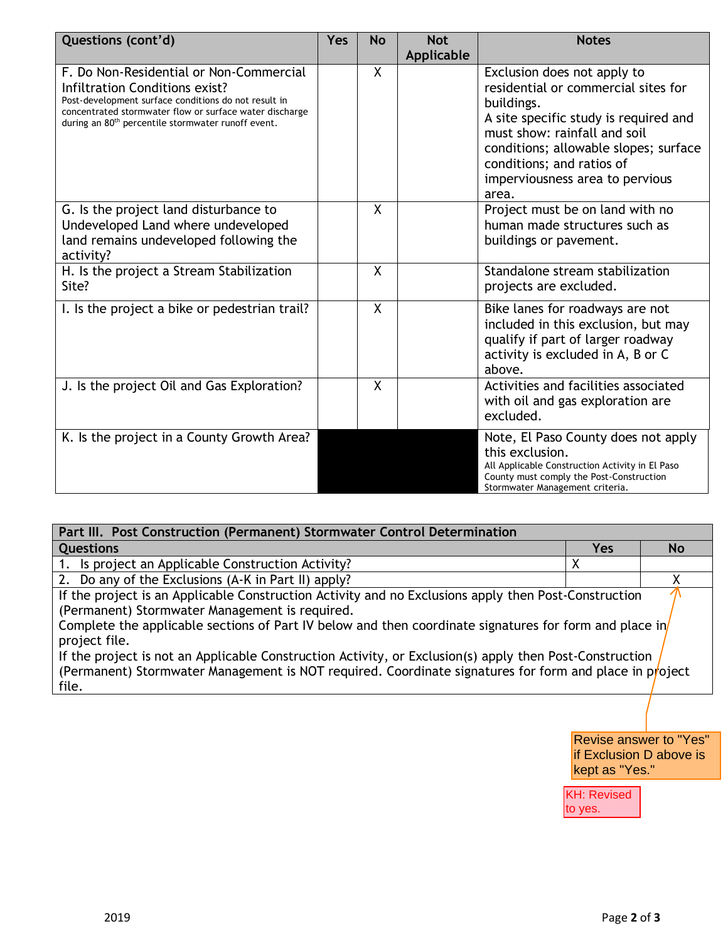| Questions (cont'd)                                                                                                                                                                                                                                             | <b>Yes</b> | <b>No</b>    | <b>Not</b><br>Applicable | <b>Notes</b>                                                                                                                                                                                                                                                                |
|----------------------------------------------------------------------------------------------------------------------------------------------------------------------------------------------------------------------------------------------------------------|------------|--------------|--------------------------|-----------------------------------------------------------------------------------------------------------------------------------------------------------------------------------------------------------------------------------------------------------------------------|
| F. Do Non-Residential or Non-Commercial<br>Infiltration Conditions exist?<br>Post-development surface conditions do not result in<br>concentrated stormwater flow or surface water discharge<br>during an 80 <sup>th</sup> percentile stormwater runoff event. |            | $\mathsf{X}$ |                          | Exclusion does not apply to<br>residential or commercial sites for<br>buildings.<br>A site specific study is required and<br>must show: rainfall and soil<br>conditions; allowable slopes; surface<br>conditions; and ratios of<br>imperviousness area to pervious<br>area. |
| G. Is the project land disturbance to<br>Undeveloped Land where undeveloped<br>land remains undeveloped following the<br>activity?                                                                                                                             |            | $\sf X$      |                          | Project must be on land with no<br>human made structures such as<br>buildings or pavement.                                                                                                                                                                                  |
| H. Is the project a Stream Stabilization<br>Site?                                                                                                                                                                                                              |            | $\sf X$      |                          | Standalone stream stabilization<br>projects are excluded.                                                                                                                                                                                                                   |
| I. Is the project a bike or pedestrian trail?                                                                                                                                                                                                                  |            | $\sf X$      |                          | Bike lanes for roadways are not<br>included in this exclusion, but may<br>qualify if part of larger roadway<br>activity is excluded in A, B or C<br>above.                                                                                                                  |
| J. Is the project Oil and Gas Exploration?                                                                                                                                                                                                                     |            | X            |                          | Activities and facilities associated<br>with oil and gas exploration are<br>excluded.                                                                                                                                                                                       |
| K. Is the project in a County Growth Area?                                                                                                                                                                                                                     |            |              |                          | Note, El Paso County does not apply<br>this exclusion.<br>All Applicable Construction Activity in El Paso<br>County must comply the Post-Construction<br>Stormwater Management criteria.                                                                                    |

| Part III. Post Construction (Permanent) Stormwater Control Determination                                                                                                                                                                                                                                                                                                                     |     |           |  |
|----------------------------------------------------------------------------------------------------------------------------------------------------------------------------------------------------------------------------------------------------------------------------------------------------------------------------------------------------------------------------------------------|-----|-----------|--|
| <b>Questions</b>                                                                                                                                                                                                                                                                                                                                                                             | Yes | <b>No</b> |  |
| 1. Is project an Applicable Construction Activity?                                                                                                                                                                                                                                                                                                                                           | х   |           |  |
| 2. Do any of the Exclusions (A-K in Part II) apply?                                                                                                                                                                                                                                                                                                                                          |     |           |  |
| If the project is an Applicable Construction Activity and no Exclusions apply then Post-Construction<br>(Permanent) Stormwater Management is required.<br>Complete the applicable sections of Part IV below and then coordinate signatures for form and place in<br>project file.<br>If the project is not an Applicable Construction Activity, or Exclusion(s) apply then Post-Construction |     |           |  |
| (Permanent) Stormwater Management is NOT required. Coordinate signatures for form and place in project<br>file.                                                                                                                                                                                                                                                                              |     |           |  |

Revise answer to "Yes" if Exclusion D above is kept as "Yes."

KH: Revised to yes.